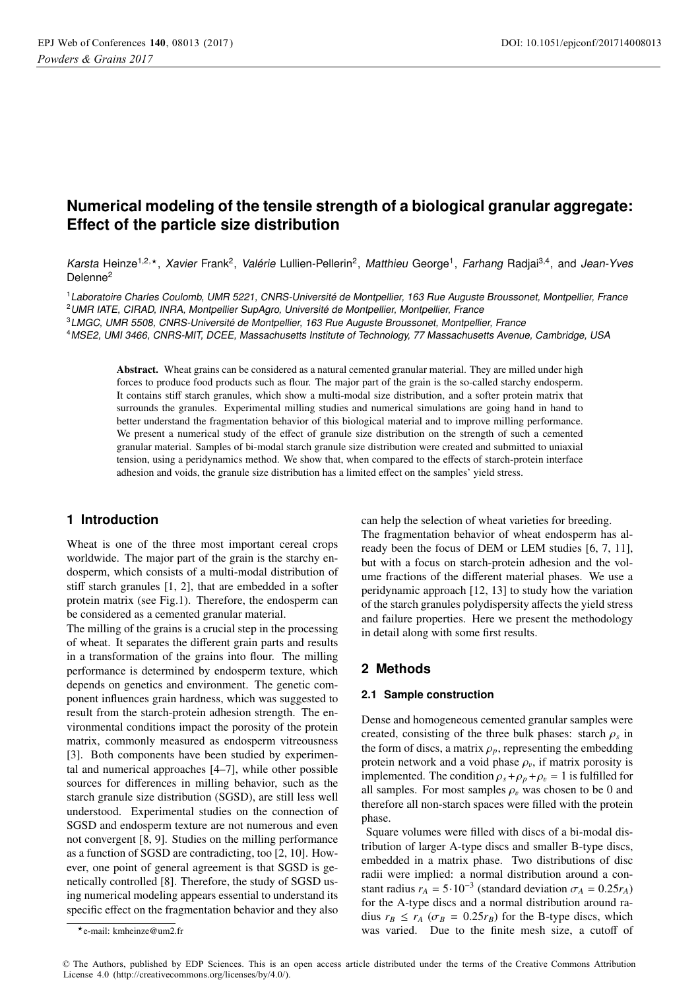# **Numerical modeling of the tensile strength of a biological granular aggregate: Effect of the particle size distribution**

Karsta Heinze<sup>1,2,\*</sup>, *Xavier* Frank<sup>2</sup>, Valérie Lullien-Pellerin<sup>2</sup>, Matthieu George<sup>1</sup>, Farhang Radjai<sup>3,4</sup>, and Jean-Yves Delenne2

<sup>1</sup>Laboratoire Charles Coulomb, UMR 5221, CNRS-Université de Montpellier, 163 Rue Auguste Broussonet, Montpellier, France <sup>2</sup>UMR IATE, CIRAD, INRA, Montpellier SupAgro, Université de Montpellier, Montpellier, France

<sup>3</sup>LMGC, UMR 5508, CNRS-Université de Montpellier, 163 Rue Auguste Broussonet, Montpellier, France

<sup>4</sup>MSE2, UMI 3466, CNRS-MIT, DCEE, Massachusetts Institute of Technology, 77 Massachusetts Avenue, Cambridge, USA

Abstract. Wheat grains can be considered as a natural cemented granular material. They are milled under high forces to produce food products such as flour. The major part of the grain is the so-called starchy endosperm. It contains stiff starch granules, which show a multi-modal size distribution, and a softer protein matrix that surrounds the granules. Experimental milling studies and numerical simulations are going hand in hand to better understand the fragmentation behavior of this biological material and to improve milling performance. We present a numerical study of the effect of granule size distribution on the strength of such a cemented granular material. Samples of bi-modal starch granule size distribution were created and submitted to uniaxial tension, using a peridynamics method. We show that, when compared to the effects of starch-protein interface adhesion and voids, the granule size distribution has a limited effect on the samples' yield stress.

## **1 Introduction**

Wheat is one of the three most important cereal crops worldwide. The major part of the grain is the starchy endosperm, which consists of a multi-modal distribution of stiff starch granules [1, 2], that are embedded in a softer protein matrix (see Fig.1). Therefore, the endosperm can be considered as a cemented granular material.

The milling of the grains is a crucial step in the processing of wheat. It separates the different grain parts and results in a transformation of the grains into flour. The milling performance is determined by endosperm texture, which depends on genetics and environment. The genetic component influences grain hardness, which was suggested to result from the starch-protein adhesion strength. The environmental conditions impact the porosity of the protein matrix, commonly measured as endosperm vitreousness [3]. Both components have been studied by experimental and numerical approaches [4–7], while other possible sources for differences in milling behavior, such as the starch granule size distribution (SGSD), are still less well understood. Experimental studies on the connection of SGSD and endosperm texture are not numerous and even not convergent [8, 9]. Studies on the milling performance as a function of SGSD are contradicting, too [2, 10]. However, one point of general agreement is that SGSD is genetically controlled [8]. Therefore, the study of SGSD using numerical modeling appears essential to understand its specific effect on the fragmentation behavior and they also

can help the selection of wheat varieties for breeding. The fragmentation behavior of wheat endosperm has already been the focus of DEM or LEM studies [6, 7, 11], but with a focus on starch-protein adhesion and the volume fractions of the different material phases. We use a peridynamic approach [12, 13] to study how the variation of the starch granules polydispersity affects the yield stress and failure properties. Here we present the methodology in detail along with some first results.

### **2 Methods**

#### **2.1 Sample construction**

Dense and homogeneous cemented granular samples were created, consisting of the three bulk phases: starch  $\rho_s$  in the form of discs, a matrix  $\rho_p$ , representing the embedding protein network and a void phase  $\rho_v$ , if matrix porosity is implemented. The condition  $\rho_s + \rho_p + \rho_v = 1$  is fulfilled for all samples. For most samples  $\rho_v$  was chosen to be 0 and therefore all non-starch spaces were filled with the protein phase.

Square volumes were filled with discs of a bi-modal distribution of larger A-type discs and smaller B-type discs, embedded in a matrix phase. Two distributions of disc radii were implied: a normal distribution around a constant radius  $r_A = 5.10^{-3}$  (standard deviation  $\sigma_A = 0.25r_A$ ) for the A-type discs and a normal distribution around radius  $r_B \le r_A$  ( $\sigma_B = 0.25r_B$ ) for the B-type discs, which was varied. Due to the finite mesh size, a cutoff of

<sup>-</sup>e-mail: kmheinze@um2.fr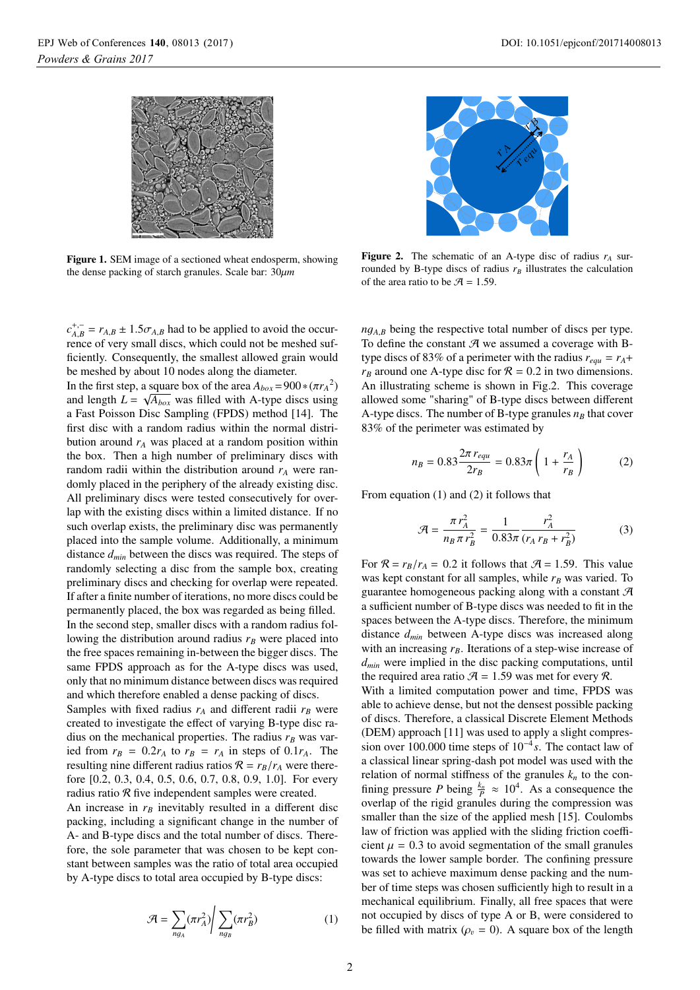

Figure 1. SEM image of a sectioned wheat endosperm, showing the dense packing of starch granules. Scale bar: 30μ*<sup>m</sup>*

 $c_{A,B}^{+,-} = r_{A,B} \pm 1.5 \sigma_{A,B}$  had to be applied to avoid the occur-<br>rence of very small discs, which could not be meshed sufrence of very small discs, which could not be meshed sufficiently. Consequently, the smallest allowed grain would be meshed by about 10 nodes along the diameter.

In the first step, a square box of the area  $A_{box} = 900 * (\pi r_A^2)$ <br>and length  $I = \sqrt{4}$ , was filled with A-type discs using and length  $L = \sqrt{A_{box}}$  was filled with A-type discs using a Fast Poisson Disc Sampling (FPDS) method [14]. The first disc with a random radius within the normal distribution around  $r_A$  was placed at a random position within the box. Then a high number of preliminary discs with random radii within the distribution around  $r_A$  were randomly placed in the periphery of the already existing disc. All preliminary discs were tested consecutively for overlap with the existing discs within a limited distance. If no such overlap exists, the preliminary disc was permanently placed into the sample volume. Additionally, a minimum distance *dmin* between the discs was required. The steps of randomly selecting a disc from the sample box, creating preliminary discs and checking for overlap were repeated. If after a finite number of iterations, no more discs could be permanently placed, the box was regarded as being filled. In the second step, smaller discs with a random radius following the distribution around radius  $r_B$  were placed into the free spaces remaining in-between the bigger discs. The same FPDS approach as for the A-type discs was used, only that no minimum distance between discs was required and which therefore enabled a dense packing of discs.

Samples with fixed radius  $r_A$  and different radii  $r_B$  were created to investigate the effect of varying B-type disc radius on the mechanical properties. The radius  $r_B$  was varied from  $r_B = 0.2r_A$  to  $r_B = r_A$  in steps of 0.1 $r_A$ . The resulting nine different radius ratios  $\mathcal{R} = r_B/r_A$  were therefore [0.2, 0.3, 0.4, 0.5, 0.6, 0.7, 0.8, 0.9, 1.0]. For every radius ratio  $R$  five independent samples were created.

An increase in  $r_B$  inevitably resulted in a different disc packing, including a significant change in the number of A- and B-type discs and the total number of discs. Therefore, the sole parameter that was chosen to be kept constant between samples was the ratio of total area occupied by A-type discs to total area occupied by B-type discs:

$$
\mathcal{A} = \sum_{ng_A} (\pi r_A^2) \bigg| \sum_{ng_B} (\pi r_B^2) \tag{1}
$$



**Figure 2.** The schematic of an A-type disc of radius  $r_A$  surrounded by B-type discs of radius  $r_B$  illustrates the calculation of the area ratio to be  $\mathcal{A} = 1.59$ .

*<sup>n</sup>*g*<sup>A</sup>*,*<sup>B</sup>* being the respective total number of discs per type. To define the constant  $A$  we assumed a coverage with Btype discs of 83% of a perimeter with the radius  $r_{equ} = r_A +$  $r_B$  around one A-type disc for  $\mathcal{R} = 0.2$  in two dimensions. An illustrating scheme is shown in Fig.2. This coverage allowed some "sharing" of B-type discs between different A-type discs. The number of B-type granules  $n_B$  that cover 83% of the perimeter was estimated by

$$
n_B = 0.83 \frac{2\pi r_{equ}}{2r_B} = 0.83\pi \left(1 + \frac{r_A}{r_B}\right)
$$
 (2)

From equation (1) and (2) it follows that

$$
\mathcal{A} = \frac{\pi r_A^2}{n_B \pi r_B^2} = \frac{1}{0.83\pi} \frac{r_A^2}{(r_A r_B + r_B^2)}
$$
(3)

For  $\mathcal{R} = r_B/r_A = 0.2$  it follows that  $\mathcal{A} = 1.59$ . This value was kept constant for all samples, while  $r_B$  was varied. To guarantee homogeneous packing along with a constant  $\mathcal A$ a sufficient number of B-type discs was needed to fit in the spaces between the A-type discs. Therefore, the minimum distance *dmin* between A-type discs was increased along with an increasing  $r_B$ . Iterations of a step-wise increase of *dmin* were implied in the disc packing computations, until the required area ratio  $A = 1.59$  was met for every R.

With a limited computation power and time, FPDS was able to achieve dense, but not the densest possible packing of discs. Therefore, a classical Discrete Element Methods (DEM) approach [11] was used to apply a slight compression over 100.000 time steps of 10−<sup>4</sup> *s*. The contact law of a classical linear spring-dash pot model was used with the relation of normal stiffness of the granules  $k_n$  to the confining pressure *P* being  $\frac{k_n}{P} \approx 10^4$ . As a consequence the overlap of the rigid granules during the compression was smaller than the size of the applied mesh [15]. Coulombs law of friction was applied with the sliding friction coefficient  $\mu = 0.3$  to avoid segmentation of the small granules towards the lower sample border. The confining pressure was set to achieve maximum dense packing and the number of time steps was chosen sufficiently high to result in a mechanical equilibrium. Finally, all free spaces that were not occupied by discs of type A or B, were considered to be filled with matrix ( $\rho_v = 0$ ). A square box of the length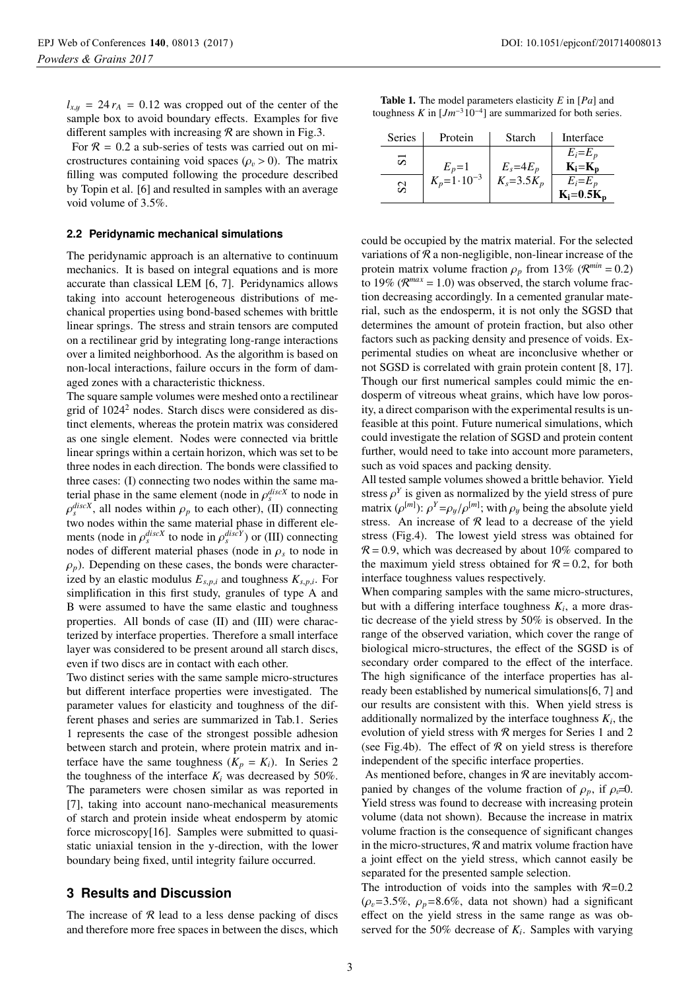$l_{x,y}$  = 24  $r_A$  = 0.12 was cropped out of the center of the sample box to avoid boundary effects. Examples for five different samples with increasing  $R$  are shown in Fig.3.

For  $\mathcal{R} = 0.2$  a sub-series of tests was carried out on microstructures containing void spaces ( $\rho_v > 0$ ). The matrix filling was computed following the procedure described by Topin et al. [6] and resulted in samples with an average void volume of 3.5%.

#### **2.2 Peridynamic mechanical simulations**

The peridynamic approach is an alternative to continuum mechanics. It is based on integral equations and is more accurate than classical LEM [6, 7]. Peridynamics allows taking into account heterogeneous distributions of mechanical properties using bond-based schemes with brittle linear springs. The stress and strain tensors are computed on a rectilinear grid by integrating long-range interactions over a limited neighborhood. As the algorithm is based on non-local interactions, failure occurs in the form of damaged zones with a characteristic thickness.

The square sample volumes were meshed onto a rectilinear grid of  $1024<sup>2</sup>$  nodes. Starch discs were considered as distinct elements, whereas the protein matrix was considered as one single element. Nodes were connected via brittle linear springs within a certain horizon, which was set to be three nodes in each direction. The bonds were classified to three cases: (I) connecting two nodes within the same material phase in the same element (node in  $\rho_s^{discX}$  to node in  $\Omega_s^{discX}$  all nodes within  $\rho_s$  to each other) (I) connecting  $\rho_s^{discX}$ , all nodes within  $\rho_p$  to each other), (II) connecting<br>two podes within the same material phase in different eletwo nodes within the same material phase in different elements (node in  $\rho_s^{discX}$  to node in  $\rho_s^{discY}$ ) or (III) connecting<br>nodes of different material phases (node in a to node in nodes of different material phases (node in  $\rho_s$  to node in  $\rho_p$ ). Depending on these cases, the bonds were characterized by an elastic modulus  $E_{s,p,i}$  and toughness  $K_{s,p,i}$ . For simplification in this first study, granules of type A and B were assumed to have the same elastic and toughness properties. All bonds of case (II) and (III) were characterized by interface properties. Therefore a small interface layer was considered to be present around all starch discs, even if two discs are in contact with each other.

Two distinct series with the same sample micro-structures but different interface properties were investigated. The parameter values for elasticity and toughness of the different phases and series are summarized in Tab.1. Series 1 represents the case of the strongest possible adhesion between starch and protein, where protein matrix and interface have the same toughness  $(K_p = K_i)$ . In Series 2 the toughness of the interface  $K_i$  was decreased by 50%. The parameters were chosen similar as was reported in [7], taking into account nano-mechanical measurements of starch and protein inside wheat endosperm by atomic force microscopy[16]. Samples were submitted to quasistatic uniaxial tension in the y-direction, with the lower boundary being fixed, until integrity failure occurred.

## **3 Results and Discussion**

The increase of  $R$  lead to a less dense packing of discs and therefore more free spaces in between the discs, which

| <b>Table 1.</b> The model parameters elasticity $E$ in $[Pa]$ and |  |  |  |  |
|-------------------------------------------------------------------|--|--|--|--|
| toughness K in $[Jm^{-3}10^{-4}]$ are summarized for both series. |  |  |  |  |

| <b>Series</b>  | Protein                 | Starch          | Interface      |
|----------------|-------------------------|-----------------|----------------|
| ವ              |                         |                 | $E_i = E_p$    |
|                | $E_p=1$                 | $E_s = 4E_p$    | $K_i = K_p$    |
| S <sub>2</sub> | $K_p = 1 \cdot 10^{-3}$ | $K_s = 3.5 K_p$ | $E_i = E_p$    |
|                |                         |                 | $K_i = 0.5K_p$ |
|                |                         |                 |                |

could be occupied by the matrix material. For the selected variations of  $R$  a non-negligible, non-linear increase of the protein matrix volume fraction  $\rho_p$  from 13% ( $\mathcal{R}^{min} = 0.2$ ) to 19% ( $\mathcal{R}^{max} = 1.0$ ) was observed, the starch volume fraction decreasing accordingly. In a cemented granular material, such as the endosperm, it is not only the SGSD that determines the amount of protein fraction, but also other factors such as packing density and presence of voids. Experimental studies on wheat are inconclusive whether or not SGSD is correlated with grain protein content [8, 17]. Though our first numerical samples could mimic the endosperm of vitreous wheat grains, which have low porosity, a direct comparison with the experimental results is unfeasible at this point. Future numerical simulations, which could investigate the relation of SGSD and protein content further, would need to take into account more parameters, such as void spaces and packing density.

All tested sample volumes showed a brittle behavior. Yield stress  $\rho^Y$  is given as normalized by the yield stress of pure matrix  $(\rho^{[m]})$ :  $\rho^Y = \rho_y/\rho^{[m]}$ ; with  $\rho_y$  being the absolute yield stress. An increase of  $R$  lead to a decrease of the yield stress (Fig.4). The lowest yield stress was obtained for  $R = 0.9$ , which was decreased by about 10% compared to the maximum yield stress obtained for  $R = 0.2$ , for both interface toughness values respectively.

When comparing samples with the same micro-structures, but with a differing interface toughness  $K_i$ , a more drastic decrease of the yield stress by 50% is observed. In the range of the observed variation, which cover the range of biological micro-structures, the effect of the SGSD is of secondary order compared to the effect of the interface. The high significance of the interface properties has already been established by numerical simulations[6, 7] and our results are consistent with this. When yield stress is additionally normalized by the interface toughness  $K_i$ , the evolution of yield stress with  $R$  merges for Series 1 and 2 (see Fig.4b). The effect of  $R$  on yield stress is therefore independent of the specific interface properties.

As mentioned before, changes in  $R$  are inevitably accompanied by changes of the volume fraction of  $\rho_p$ , if  $\rho_v=0$ . Yield stress was found to decrease with increasing protein volume (data not shown). Because the increase in matrix volume fraction is the consequence of significant changes in the micro-structures,  $R$  and matrix volume fraction have a joint effect on the yield stress, which cannot easily be separated for the presented sample selection.

The introduction of voids into the samples with  $R=0.2$  $(\rho_v=3.5\%, \rho_p=8.6\%, \text{ data not shown})$  had a significant effect on the yield stress in the same range as was observed for the 50% decrease of  $K_i$ . Samples with varying